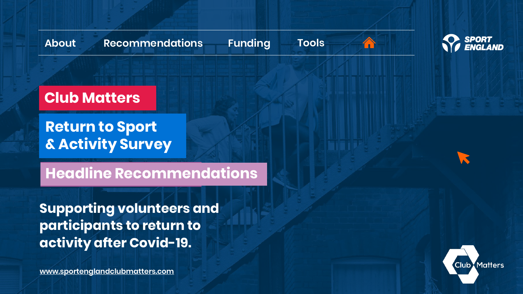**[Funding](#page-9-0) [Tools](#page-10-0)**

 $\leftrightarrow$ 



**Club Matters**

**Return to Sport & Activity Survey**

**Headline Recommendations**

**Supporting volunteers and participants to return to activity after Covid-19.**

**[www.sportenglandclubmatters.com](http://www.sportenglandclubmatters.com/)**

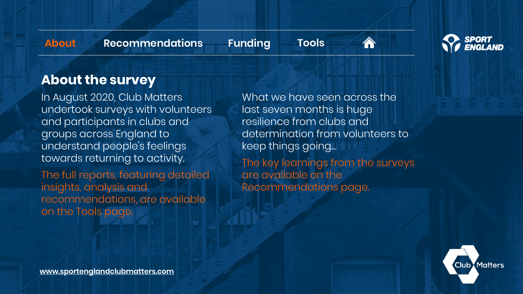<span id="page-1-0"></span>

**[Funding](#page-9-0) [Tools](#page-10-0)**



**SPORT** 

## **About the survey**

In August 2020, Club Matters undertook surveys with volunteers and participants in clubs and groups across England to understand people's feelings towards returning to activity.

The full reports, featuring detailed insights, analysis and recommendations, are available on the Tools page.

What we have seen across the last seven months is huge resilience from clubs and determination from volunteers to keep things going…

The key learnings from the surveys are available on the Recommendations page.

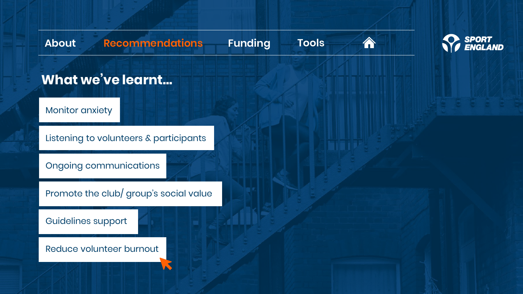**[Funding](#page-9-0) [Tools](#page-10-0)**





<span id="page-2-0"></span>**What we've learnt…**

[Monitor anxiety](#page-3-0)

[Listening to volunteers & participants](#page-4-0)

[Ongoing communications](#page-5-0)

[Promote the club/ group's social value](#page-6-0) 

[Guidelines support](#page-7-0)

[Reduce volunteer burnout](#page-7-0)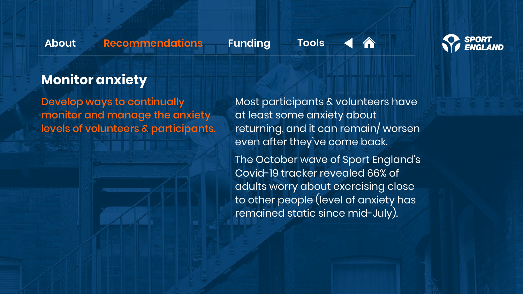<span id="page-3-0"></span>

**[Funding](#page-9-0) [Tools](#page-10-0)**





# **Monitor anxiety**

Develop ways to continually monitor and manage the anxiety levels of volunteers & participants.

Most participants & volunteers have at least some anxiety about returning, and it can remain/ worsen even after they've come back.

The October wave of Sport England's Covid-19 tracker revealed 66% of adults worry about exercising close to other people (level of anxiety has remained static since mid-July).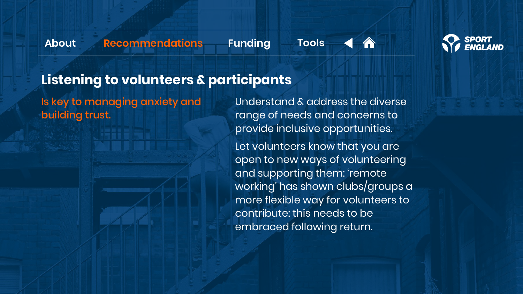<span id="page-4-0"></span>

**[Funding](#page-9-0) [Tools](#page-10-0)**





# **Listening to volunteers & participants**

Is key to managing anxiety and building trust.

Understand & address the diverse range of needs and concerns to provide inclusive opportunities.

Let volunteers know that you are open to new ways of volunteering and supporting them: 'remote working' has shown clubs/groups a more flexible way for volunteers to contribute: this needs to be embraced following return.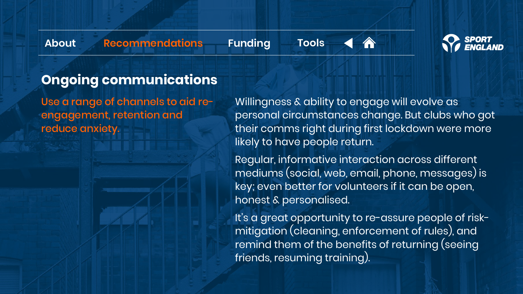<span id="page-5-0"></span>

**[Funding](#page-9-0) [Tools](#page-10-0)**





# **Ongoing communications**

Use a range of channels to aid reengagement, retention and reduce anxiety.

Willingness & ability to engage will evolve as personal circumstances change. But clubs who got their comms right during first lockdown were more likely to have people return.

Regular, informative interaction across different mediums (social, web, email, phone, messages) is key; even better for volunteers if it can be open, honest & personalised.

It's a great opportunity to re-assure people of riskmitigation (cleaning, enforcement of rules), and remind them of the benefits of returning (seeing friends, resuming training).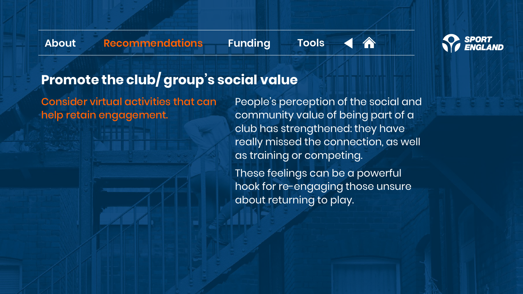<span id="page-6-0"></span>

**[Funding](#page-9-0) [Tools](#page-10-0)**





# **Promote the club/ group's social value**

Consider virtual activities that can help retain engagement.

People's perception of the social and community value of being part of a club has strengthened: they have really missed the connection, as well as training or competing.

These feelings can be a powerful hook for re-engaging those unsure about returning to play.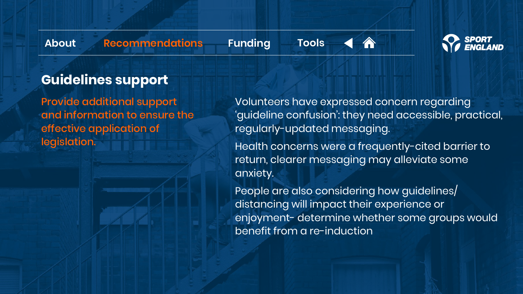<span id="page-7-0"></span>

**[Funding](#page-9-0) [Tools](#page-10-0)**





# **Guidelines support**

Provide additional support and information to ensure the effective application of legislation.

Volunteers have expressed concern regarding 'guideline confusion': they need accessible, practical, regularly-updated messaging.

Health concerns were a frequently-cited barrier to return, clearer messaging may alleviate some anxiety.

People are also considering how guidelines/ distancing will impact their experience or enjoyment- determine whether some groups would benefit from a re-induction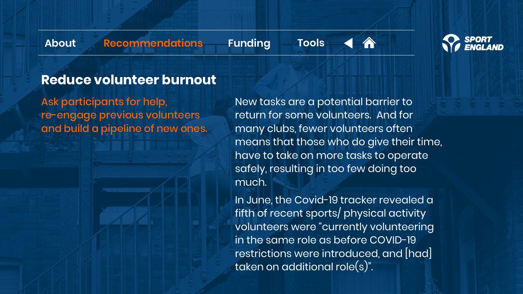**[Funding](#page-9-0) [Tools](#page-10-0)**





## **Reduce volunteer burnout**

Ask participants for help, re-engage previous volunteers and build a pipeline of new ones.

New tasks are a potential barrier to return for some volunteers. And for many clubs, fewer volunteers often means that those who do give their time, have to take on more tasks to operate safely, resulting in too few doing too much.

In June, the Covid-19 tracker revealed a fifth of recent sports/ physical activity volunteers were "currently volunteering in the same role as before COVID-19 restrictions were introduced, and [had] taken on additional role(s)".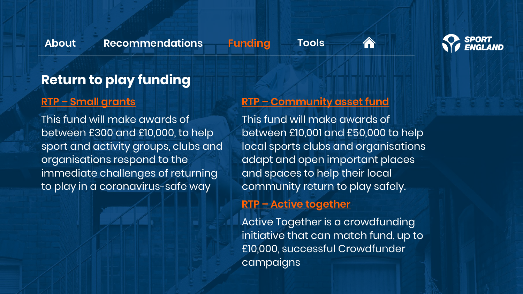**[Funding](#page-9-0) [Tools](#page-10-0)**





## <span id="page-9-0"></span>**Return to play funding**

### **RTP – [Small grants](https://www.sportengland.org/how-we-can-help/our-funds)**

This fund will make awards of between £300 and £10,000, to help sport and activity groups, clubs and organisations respond to the immediate challenges of returning to play in a coronavirus-safe way

### **RTP – [Community asset fund](https://www.sportengland.org/how-we-can-help/our-funds)**

This fund will make awards of between £10,001 and £50,000 to help local sports clubs and organisations adapt and open important places and spaces to help their local community return to play safely.

### **RTP – [Active together](https://www.sportengland.org/how-we-can-help/our-funds)**

Active Together is a crowdfunding initiative that can match fund, up to £10,000, successful Crowdfunder campaigns